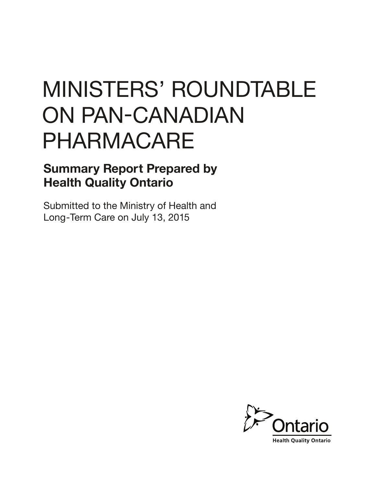# MINISTERS' ROUNDTABLE ON PAN-CANADIAN PHARMACARE

### Summary Report Prepared by Health Quality Ontario

Submitted to the Ministry of Health and Long-Term Care on July 13, 2015

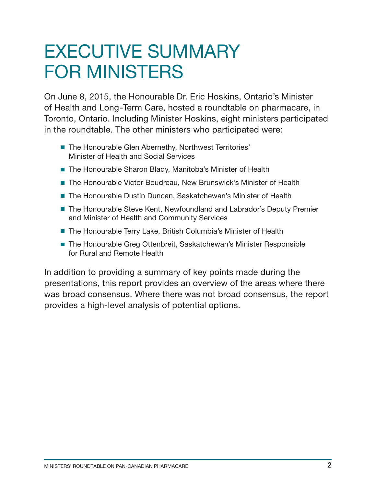### EXECUTIVE SUMMARY FOR MINISTERS

On June 8, 2015, the Honourable Dr. Eric Hoskins, Ontario's Minister of Health and Long-Term Care, hosted a roundtable on pharmacare, in Toronto, Ontario. Including Minister Hoskins, eight ministers participated in the roundtable. The other ministers who participated were:

- **The Honourable Glen Abernethy, Northwest Territories'** Minister of Health and Social Services
- **The Honourable Sharon Blady, Manitoba's Minister of Health**
- **The Honourable Victor Boudreau, New Brunswick's Minister of Health**
- The Honourable Dustin Duncan, Saskatchewan's Minister of Health
- **The Honourable Steve Kent, Newfoundland and Labrador's Deputy Premier** and Minister of Health and Community Services
- The Honourable Terry Lake, British Columbia's Minister of Health
- **The Honourable Greg Ottenbreit, Saskatchewan's Minister Responsible** for Rural and Remote Health

In addition to providing a summary of key points made during the presentations, this report provides an overview of the areas where there was broad consensus. Where there was not broad consensus, the report provides a high-level analysis of potential options.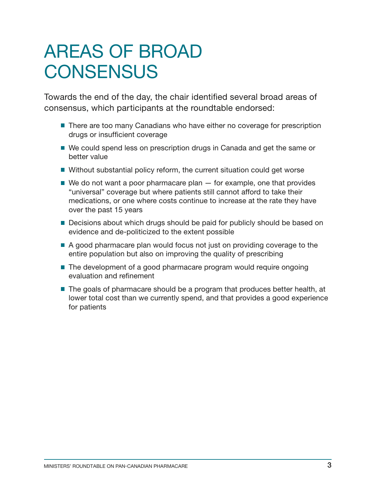### AREAS OF BROAD **CONSENSUS**

Towards the end of the day, the chair identified several broad areas of consensus, which participants at the roundtable endorsed:

- **There are too many Canadians who have either no coverage for prescription** drugs or insufficient coverage
- We could spend less on prescription drugs in Canada and get the same or better value
- Without substantial policy reform, the current situation could get worse
- $\blacksquare$  We do not want a poor pharmacare plan  $-$  for example, one that provides "universal" coverage but where patients still cannot afford to take their medications, or one where costs continue to increase at the rate they have over the past 15 years
- **Decisions about which drugs should be paid for publicly should be based on** evidence and de-politicized to the extent possible
- A good pharmacare plan would focus not just on providing coverage to the entire population but also on improving the quality of prescribing
- **The development of a good pharmacare program would require ongoing** evaluation and refinement
- **The goals of pharmacare should be a program that produces better health, at** lower total cost than we currently spend, and that provides a good experience for patients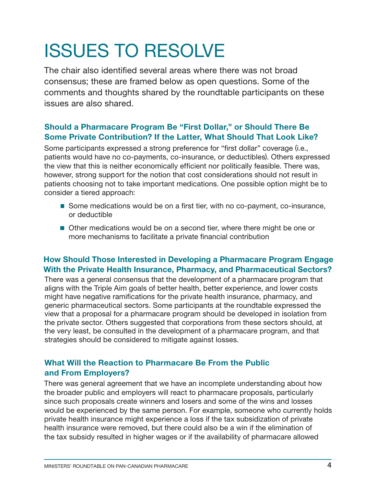## ISSUES TO RESOLVE

The chair also identified several areas where there was not broad consensus; these are framed below as open questions. Some of the comments and thoughts shared by the roundtable participants on these issues are also shared.

#### Should a Pharmacare Program Be "First Dollar," or Should There Be Some Private Contribution? If the Latter, What Should That Look Like?

Some participants expressed a strong preference for "first dollar" coverage (i.e., patients would have no co-payments, co-insurance, or deductibles). Others expressed the view that this is neither economically efficient nor politically feasible. There was, however, strong support for the notion that cost considerations should not result in patients choosing not to take important medications. One possible option might be to consider a tiered approach:

- **Some medications would be on a first tier, with no co-payment, co-insurance,** or deductible
- **Other medications would be on a second tier, where there might be one or** more mechanisms to facilitate a private financial contribution

#### How Should Those Interested in Developing a Pharmacare Program Engage With the Private Health Insurance, Pharmacy, and Pharmaceutical Sectors?

There was a general consensus that the development of a pharmacare program that aligns with the Triple Aim goals of better health, better experience, and lower costs might have negative ramifications for the private health insurance, pharmacy, and generic pharmaceutical sectors. Some participants at the roundtable expressed the view that a proposal for a pharmacare program should be developed in isolation from the private sector. Others suggested that corporations from these sectors should, at the very least, be consulted in the development of a pharmacare program, and that strategies should be considered to mitigate against losses.

#### What Will the Reaction to Pharmacare Be From the Public and From Employers?

There was general agreement that we have an incomplete understanding about how the broader public and employers will react to pharmacare proposals, particularly since such proposals create winners and losers and some of the wins and losses would be experienced by the same person. For example, someone who currently holds private health insurance might experience a loss if the tax subsidization of private health insurance were removed, but there could also be a win if the elimination of the tax subsidy resulted in higher wages or if the availability of pharmacare allowed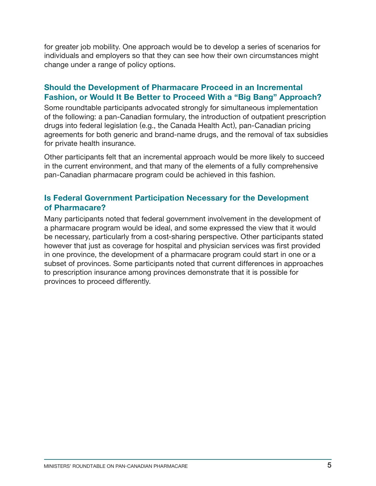for greater job mobility. One approach would be to develop a series of scenarios for individuals and employers so that they can see how their own circumstances might change under a range of policy options.

#### Should the Development of Pharmacare Proceed in an Incremental Fashion, or Would It Be Better to Proceed With a "Big Bang" Approach?

Some roundtable participants advocated strongly for simultaneous implementation of the following: a pan-Canadian formulary, the introduction of outpatient prescription drugs into federal legislation (e.g., the Canada Health Act), pan-Canadian pricing agreements for both generic and brand-name drugs, and the removal of tax subsidies for private health insurance.

Other participants felt that an incremental approach would be more likely to succeed in the current environment, and that many of the elements of a fully comprehensive pan-Canadian pharmacare program could be achieved in this fashion.

#### Is Federal Government Participation Necessary for the Development of Pharmacare?

Many participants noted that federal government involvement in the development of a pharmacare program would be ideal, and some expressed the view that it would be necessary, particularly from a cost-sharing perspective. Other participants stated however that just as coverage for hospital and physician services was first provided in one province, the development of a pharmacare program could start in one or a subset of provinces. Some participants noted that current differences in approaches to prescription insurance among provinces demonstrate that it is possible for provinces to proceed differently.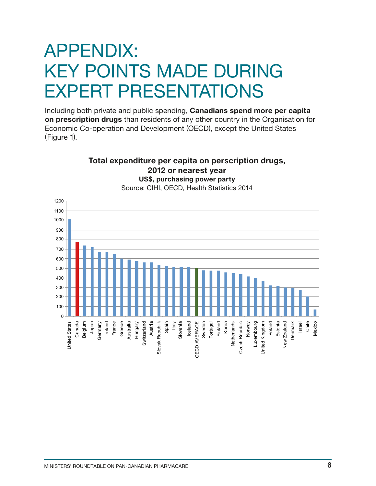### APPENDIX: KEY POINTS MADE DURING EXPERT PRESENTATIONS

Including both private and public spending, Canadians spend more per capita on prescription drugs than residents of any other country in the Organisation for Economic Co-operation and Development (OECD), except the United States (Figure 1).

> Total expenditure per capita on perscription drugs, 2012 or nearest year

#### US\$, purchasing power party Source: CIHI, OECD, Health Statistics 2014 1200 1100 1000 900 800 700 600 500 400 300 200 100  $\Omega$ Denmark Belgium Australia Hungary Spain Italy Iceland Sweden Portugal Finland Korea Netherlands Norway Poland Estonia Zealand Japan Ireland France Greece **Czech Republic Jnited States** Canada Switzerland Austria Slovak Republik Slovenia *OECD AVERAGE* Luxembourg Jnited Kingdom MexicoUnited States **Germany** Switzerland Slovak Republik OECD AVERAGE Netherlands Czech Republic Luxembourg United Kingdom New Zealand Denmark Israel Chile New: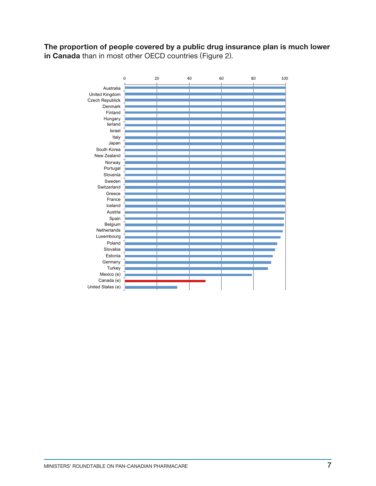The proportion of people covered by a public drug insurance plan is much lower in Canada than in most other OECD countries (Figure 2).

|                   | $\mathbf 0$ | 20 | 40 | 60 | 80 | 100 |
|-------------------|-------------|----|----|----|----|-----|
| Australia         |             |    |    |    |    |     |
| United Kingdom    |             |    |    |    |    |     |
| Czech Republick   |             |    |    |    |    |     |
| <b>Denmark</b>    |             |    |    |    |    |     |
| Finland           |             |    |    |    |    |     |
| Hungary           |             |    |    |    |    |     |
| lerland           |             |    |    |    |    |     |
| Israel            |             |    |    |    |    |     |
| Italy             |             |    |    |    |    |     |
| Japan             |             |    |    |    |    |     |
| South Korea       |             |    |    |    |    |     |
| New Zealand       |             |    |    |    |    |     |
| Norway            |             |    |    |    |    |     |
| Portugal          |             |    |    |    |    |     |
| Slovenia          |             |    |    |    |    |     |
| Sweden            |             |    |    |    |    |     |
| Switzerland       |             |    |    |    |    |     |
| Greece            |             |    |    |    |    |     |
| France            |             |    |    |    |    |     |
| Iceland           |             |    |    |    |    |     |
| Austria           |             |    |    |    |    |     |
| Spain             |             |    |    |    |    |     |
| Belgium           |             |    |    |    |    |     |
| Netherlands       |             |    |    |    |    |     |
| Luxembourg        |             |    |    |    |    |     |
| Poland            |             |    |    |    |    |     |
| Slovakia          |             |    |    |    |    |     |
| Estonia           |             |    |    |    |    |     |
| Germany           |             |    |    |    |    |     |
| Turkey            |             |    |    |    |    |     |
| Mexico (e)        |             |    |    |    |    |     |
| Canada (e)        |             |    |    |    |    |     |
| United States (e) |             |    |    |    |    |     |
|                   |             |    |    |    |    |     |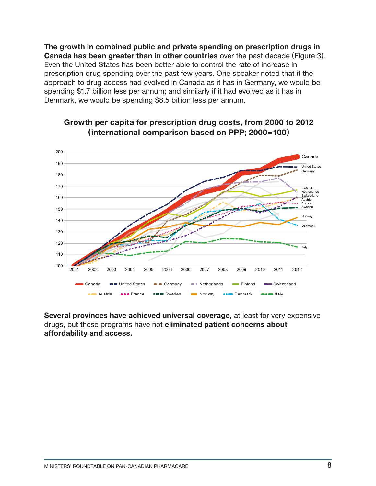The growth in combined public and private spending on prescription drugs in Canada has been greater than in other countries over the past decade (Figure 3). Even the United States has been better able to control the rate of increase in prescription drug spending over the past few years. One speaker noted that if the approach to drug access had evolved in Canada as it has in Germany, we would be spending \$1.7 billion less per annum; and similarly if it had evolved as it has in Denmark, we would be spending \$8.5 billion less per annum.



### Growth per capita for prescription drug costs, from 2000 to 2012 (international comparison based on PPP; 2000=100)

Several provinces have achieved universal coverage, at least for very expensive drugs, but these programs have not eliminated patient concerns about affordability and access.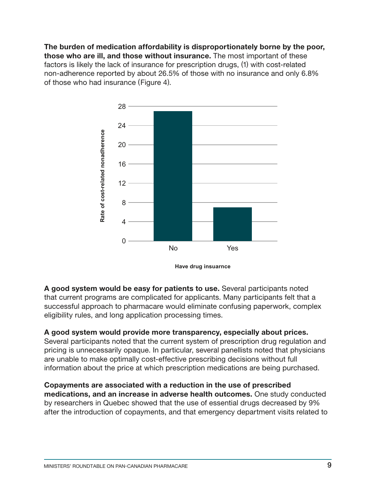The burden of medication affordability is disproportionately borne by the poor, those who are ill, and those without insurance. The most important of these factors is likely the lack of insurance for prescription drugs, (1) with cost-related non-adherence reported by about 26.5% of those with no insurance and only 6.8% of those who had insurance (Figure 4).



**Have drug insuarnce**

A good system would be easy for patients to use. Several participants noted that current programs are complicated for applicants. Many participants felt that a successful approach to pharmacare would eliminate confusing paperwork, complex eligibility rules, and long application processing times.

### A good system would provide more transparency, especially about prices.

Several participants noted that the current system of prescription drug regulation and pricing is unnecessarily opaque. In particular, several panellists noted that physicians are unable to make optimally cost-effective prescribing decisions without full information about the price at which prescription medications are being purchased.

Copayments are associated with a reduction in the use of prescribed medications, and an increase in adverse health outcomes. One study conducted by researchers in Quebec showed that the use of essential drugs decreased by 9% after the introduction of copayments, and that emergency department visits related to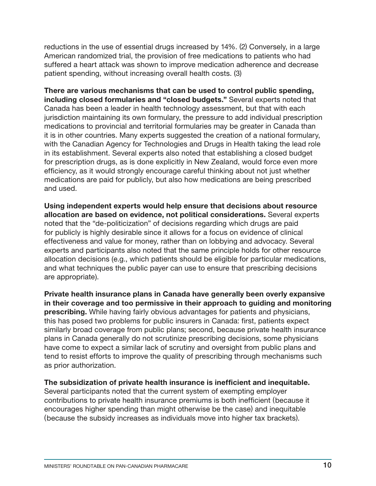reductions in the use of essential drugs increased by 14%. (2) Conversely, in a large American randomized trial, the provision of free medications to patients who had suffered a heart attack was shown to improve medication adherence and decrease patient spending, without increasing overall health costs. (3)

There are various mechanisms that can be used to control public spending, including closed formularies and "closed budgets." Several experts noted that Canada has been a leader in health technology assessment, but that with each jurisdiction maintaining its own formulary, the pressure to add individual prescription medications to provincial and territorial formularies may be greater in Canada than it is in other countries. Many experts suggested the creation of a national formulary, with the Canadian Agency for Technologies and Drugs in Health taking the lead role in its establishment. Several experts also noted that establishing a closed budget for prescription drugs, as is done explicitly in New Zealand, would force even more efficiency, as it would strongly encourage careful thinking about not just whether medications are paid for publicly, but also how medications are being prescribed and used.

Using independent experts would help ensure that decisions about resource allocation are based on evidence, not political considerations. Several experts noted that the "de-politicization" of decisions regarding which drugs are paid for publicly is highly desirable since it allows for a focus on evidence of clinical effectiveness and value for money, rather than on lobbying and advocacy. Several experts and participants also noted that the same principle holds for other resource allocation decisions (e.g., which patients should be eligible for particular medications, and what techniques the public payer can use to ensure that prescribing decisions are appropriate).

Private health insurance plans in Canada have generally been overly expansive in their coverage and too permissive in their approach to guiding and monitoring prescribing. While having fairly obvious advantages for patients and physicians, this has posed two problems for public insurers in Canada: first, patients expect similarly broad coverage from public plans; second, because private health insurance plans in Canada generally do not scrutinize prescribing decisions, some physicians have come to expect a similar lack of scrutiny and oversight from public plans and tend to resist efforts to improve the quality of prescribing through mechanisms such as prior authorization.

The subsidization of private health insurance is inefficient and inequitable.

Several participants noted that the current system of exempting employer contributions to private health insurance premiums is both inefficient (because it encourages higher spending than might otherwise be the case) and inequitable (because the subsidy increases as individuals move into higher tax brackets).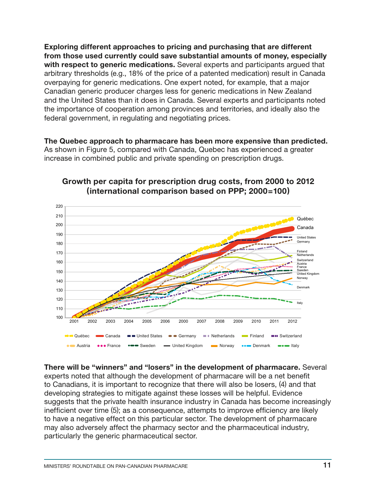Exploring different approaches to pricing and purchasing that are different from those used currently could save substantial amounts of money, especially with respect to generic medications. Several experts and participants argued that arbitrary thresholds (e.g., 18% of the price of a patented medication) result in Canada overpaying for generic medications. One expert noted, for example, that a major Canadian generic producer charges less for generic medications in New Zealand and the United States than it does in Canada. Several experts and participants noted the importance of cooperation among provinces and territories, and ideally also the federal government, in regulating and negotiating prices.

The Quebec approach to pharmacare has been more expensive than predicted. As shown in Figure 5, compared with Canada, Quebec has experienced a greater increase in combined public and private spending on prescription drugs.



#### Growth per capita for prescription drug costs, from 2000 to 2012 (international comparison based on PPP; 2000=100)

There will be "winners" and "losers" in the development of pharmacare. Several experts noted that although the development of pharmacare will be a net benefit to Canadians, it is important to recognize that there will also be losers, (4) and that developing strategies to mitigate against these losses will be helpful. Evidence suggests that the private health insurance industry in Canada has become increasingly inefficient over time (5); as a consequence, attempts to improve efficiency are likely to have a negative effect on this particular sector. The development of pharmacare may also adversely affect the pharmacy sector and the pharmaceutical industry, particularly the generic pharmaceutical sector.